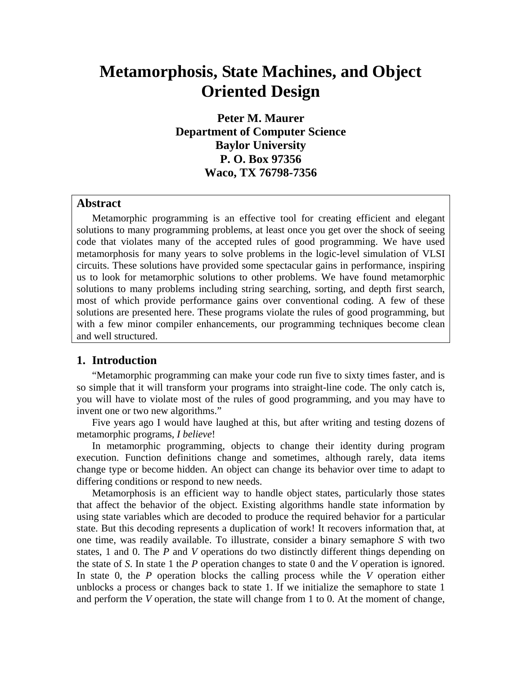# **Metamorphosis, State Machines, and Object Oriented Design**

**Peter M. Maurer Department of Computer Science Baylor University P. O. Box 97356 Waco, TX 76798-7356** 

## **Abstract**

Metamorphic programming is an effective tool for creating efficient and elegant solutions to many programming problems, at least once you get over the shock of seeing code that violates many of the accepted rules of good programming. We have used metamorphosis for many years to solve problems in the logic-level simulation of VLSI circuits. These solutions have provided some spectacular gains in performance, inspiring us to look for metamorphic solutions to other problems. We have found metamorphic solutions to many problems including string searching, sorting, and depth first search, most of which provide performance gains over conventional coding. A few of these solutions are presented here. These programs violate the rules of good programming, but with a few minor compiler enhancements, our programming techniques become clean and well structured.

# **1. Introduction**

"Metamorphic programming can make your code run five to sixty times faster, and is so simple that it will transform your programs into straight-line code. The only catch is, you will have to violate most of the rules of good programming, and you may have to invent one or two new algorithms."

Five years ago I would have laughed at this, but after writing and testing dozens of metamorphic programs, *I believe*!

In metamorphic programming, objects to change their identity during program execution. Function definitions change and sometimes, although rarely, data items change type or become hidden. An object can change its behavior over time to adapt to differing conditions or respond to new needs.

Metamorphosis is an efficient way to handle object states, particularly those states that affect the behavior of the object. Existing algorithms handle state information by using state variables which are decoded to produce the required behavior for a particular state. But this decoding represents a duplication of work! It recovers information that, at one time, was readily available. To illustrate, consider a binary semaphore *S* with two states, 1 and 0. The *P* and *V* operations do two distinctly different things depending on the state of *S*. In state 1 the *P* operation changes to state 0 and the *V* operation is ignored. In state 0, the *P* operation blocks the calling process while the *V* operation either unblocks a process or changes back to state 1. If we initialize the semaphore to state 1 and perform the *V* operation, the state will change from 1 to 0. At the moment of change,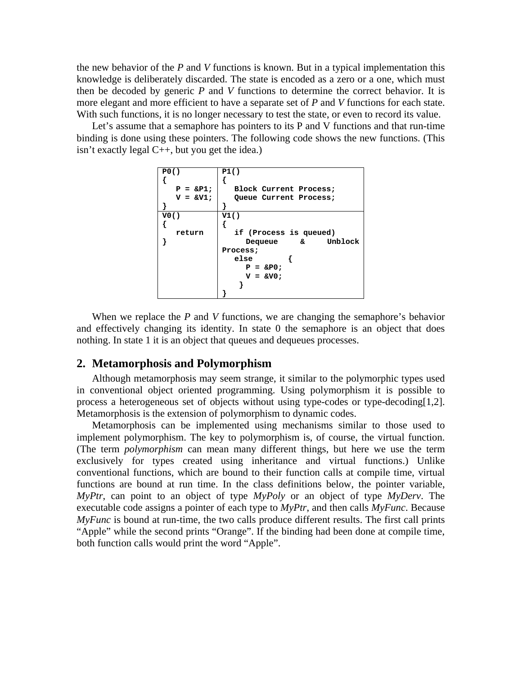the new behavior of the *P* and *V* functions is known. But in a typical implementation this knowledge is deliberately discarded. The state is encoded as a zero or a one, which must then be decoded by generic *P* and *V* functions to determine the correct behavior. It is more elegant and more efficient to have a separate set of *P* and *V* functions for each state. With such functions, it is no longer necessary to test the state, or even to record its value.

Let's assume that a semaphore has pointers to its P and V functions and that run-time binding is done using these pointers. The following code shows the new functions. (This isn't exactly legal C++, but you get the idea.)

| P0()                               | P1()                        |                        |
|------------------------------------|-----------------------------|------------------------|
| {                                  | $F = \Π$                    | Block Current Process; |
| $V = \&VI$                         | Queue Current Process;      |                        |
| $V0()$                             | V1()                        |                        |
| {                                  | $\{$ if (Process is queued) |                        |
| $\}$ <b>Frequency</b> $\&$ Unblock |                             |                        |
| $\}$ <b>Process;</b> \n            | else                        | {                      |
| $P = \&P0$                         | $V = \&V0$                  |                        |

When we replace the *P* and *V* functions, we are changing the semaphore's behavior and effectively changing its identity. In state 0 the semaphore is an object that does nothing. In state 1 it is an object that queues and dequeues processes.

## **2. Metamorphosis and Polymorphism**

Although metamorphosis may seem strange, it similar to the polymorphic types used in conventional object oriented programming. Using polymorphism it is possible to process a heterogeneous set of objects without using type-codes or type-decoding[1,2]. Metamorphosis is the extension of polymorphism to dynamic codes.

Metamorphosis can be implemented using mechanisms similar to those used to implement polymorphism. The key to polymorphism is, of course, the virtual function. (The term *polymorphism* can mean many different things, but here we use the term exclusively for types created using inheritance and virtual functions.) Unlike conventional functions, which are bound to their function calls at compile time, virtual functions are bound at run time. In the class definitions below, the pointer variable, *MyPtr*, can point to an object of type *MyPoly* or an object of type *MyDerv*. The executable code assigns a pointer of each type to *MyPtr*, and then calls *MyFunc*. Because *MyFunc* is bound at run-time, the two calls produce different results. The first call prints "Apple" while the second prints "Orange". If the binding had been done at compile time, both function calls would print the word "Apple".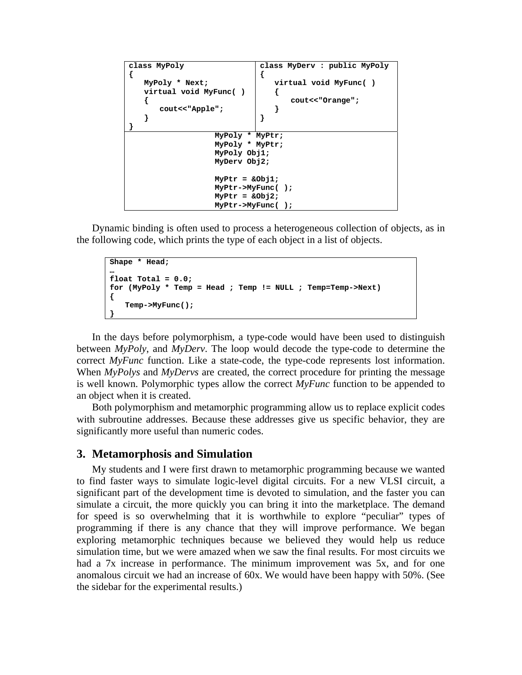```
class MyPoly 
{ 
    MyPoly * Next; 
    virtual void MyFunc( ) 
    { 
        cout<<"Apple"; 
    } 
} 
                                 class MyDerv : public MyPoly 
                                 { 
                                      virtual void MyFunc( ) 
                                      { 
                                          cout<<"Orange"; 
                                      } 
                                 } 
                     MyPoly * MyPtr; 
                     MyPoly * MyPtr; 
                     MyPoly Obj1; 
                     MyDerv Obj2; 
                     MyPtr = &Obj1; 
                     MyPtr->MyFunc( ); 
                     MyPtr = &Obj2; 
                     MyPtr->MyFunc( );
```
Dynamic binding is often used to process a heterogeneous collection of objects, as in the following code, which prints the type of each object in a list of objects.

```
Shape * Head; 
… 
float Total = 0.0; 
for (MyPoly * Temp = Head ; Temp != NULL ; Temp=Temp->Next) 
{ 
    Temp->MyFunc(); 
}
```
In the days before polymorphism, a type-code would have been used to distinguish between *MyPoly*, and *MyDerv*. The loop would decode the type-code to determine the correct *MyFunc* function. Like a state-code, the type-code represents lost information. When *MyPolys* and *MyDervs* are created, the correct procedure for printing the message is well known. Polymorphic types allow the correct *MyFunc* function to be appended to an object when it is created.

Both polymorphism and metamorphic programming allow us to replace explicit codes with subroutine addresses. Because these addresses give us specific behavior, they are significantly more useful than numeric codes.

#### **3. Metamorphosis and Simulation**

My students and I were first drawn to metamorphic programming because we wanted to find faster ways to simulate logic-level digital circuits. For a new VLSI circuit, a significant part of the development time is devoted to simulation, and the faster you can simulate a circuit, the more quickly you can bring it into the marketplace. The demand for speed is so overwhelming that it is worthwhile to explore "peculiar" types of programming if there is any chance that they will improve performance. We began exploring metamorphic techniques because we believed they would help us reduce simulation time, but we were amazed when we saw the final results. For most circuits we had a 7x increase in performance. The minimum improvement was 5x, and for one anomalous circuit we had an increase of 60x. We would have been happy with 50%. (See the sidebar for the experimental results.)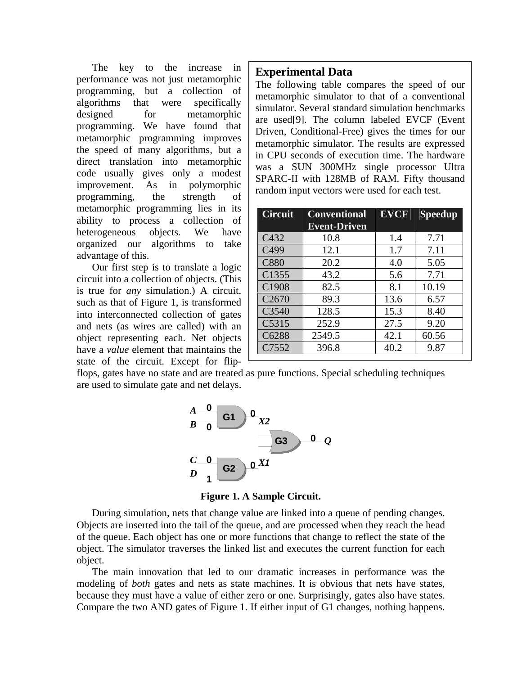The key to the increase in performance was not just metamorphic programming, but a collection of algorithms that were specifically designed for metamorphic programming. We have found that metamorphic programming improves the speed of many algorithms, but a direct translation into metamorphic code usually gives only a modest improvement. As in polymorphic programming, the strength of metamorphic programming lies in its ability to process a collection of heterogeneous objects. We have organized our algorithms to take advantage of this.

Our first step is to translate a logic circuit into a collection of objects. (This is true for *any* simulation.) A circuit, such as that of Figure 1, is transformed into interconnected collection of gates and nets (as wires are called) with an object representing each. Net objects have a *value* element that maintains the state of the circuit. Except for flip-

# **Experimental Data**

The following table compares the speed of our metamorphic simulator to that of a conventional simulator. Several standard simulation benchmarks are used[9]. The column labeled EVCF (Event Driven, Conditional-Free) gives the times for our metamorphic simulator. The results are expressed in CPU seconds of execution time. The hardware was a SUN 300MHz single processor Ultra SPARC-II with 128MB of RAM. Fifty thousand random input vectors were used for each test.

| <b>Circuit</b>    | <b>Conventional</b><br><b>Event-Driven</b> | <b>EVCF</b> | <b>Speedup</b> |
|-------------------|--------------------------------------------|-------------|----------------|
| C432              | 10.8                                       | 1.4         | 7.71           |
| C <sub>499</sub>  | 12.1                                       | 1.7         | 7.11           |
| <b>C880</b>       | 20.2                                       | 4.0         | 5.05           |
| C1355             | 43.2                                       | 5.6         | 7.71           |
| C1908             | 82.5                                       | 8.1         | 10.19          |
| C <sub>2670</sub> | 89.3                                       | 13.6        | 6.57           |
| C3540             | 128.5                                      | 15.3        | 8.40           |
| C5315             | 252.9                                      | 27.5        | 9.20           |
| C6288             | 2549.5                                     | 42.1        | 60.56          |
| C7552             | 396.8                                      | 40.2        | 9.87           |

flops, gates have no state and are treated as pure functions. Special scheduling techniques are used to simulate gate and net delays.



**Figure 1. A Sample Circuit.** 

During simulation, nets that change value are linked into a queue of pending changes. Objects are inserted into the tail of the queue, and are processed when they reach the head of the queue. Each object has one or more functions that change to reflect the state of the object. The simulator traverses the linked list and executes the current function for each object.

The main innovation that led to our dramatic increases in performance was the modeling of *both* gates and nets as state machines. It is obvious that nets have states, because they must have a value of either zero or one. Surprisingly, gates also have states. Compare the two AND gates of Figure 1. If either input of G1 changes, nothing happens.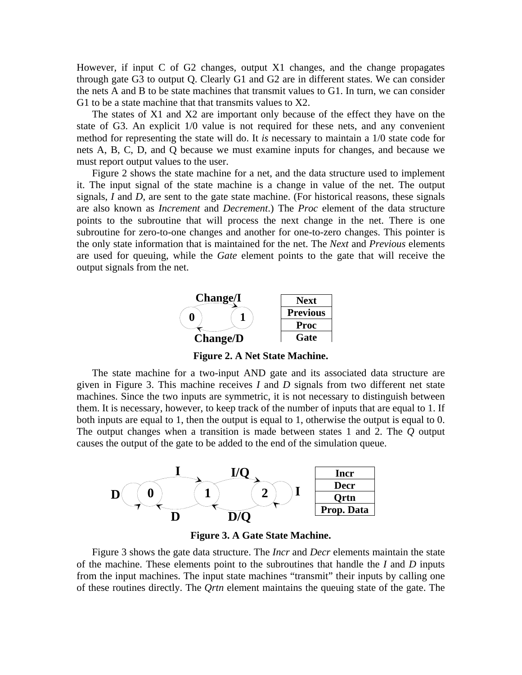However, if input C of G2 changes, output X1 changes, and the change propagates through gate G3 to output Q. Clearly G1 and G2 are in different states. We can consider the nets A and B to be state machines that transmit values to G1. In turn, we can consider G1 to be a state machine that that transmits values to X2.

The states of X1 and X2 are important only because of the effect they have on the state of G3. An explicit 1/0 value is not required for these nets, and any convenient method for representing the state will do. It *is* necessary to maintain a 1/0 state code for nets A, B, C, D, and Q because we must examine inputs for changes, and because we must report output values to the user.

Figure 2 shows the state machine for a net, and the data structure used to implement it. The input signal of the state machine is a change in value of the net. The output signals, *I* and *D*, are sent to the gate state machine. (For historical reasons, these signals are also known as *Increment* and *Decrement*.) The *Proc* element of the data structure points to the subroutine that will process the next change in the net. There is one subroutine for zero-to-one changes and another for one-to-zero changes. This pointer is the only state information that is maintained for the net. The *Next* and *Previous* elements are used for queuing, while the *Gate* element points to the gate that will receive the output signals from the net.



**Figure 2. A Net State Machine.** 

The state machine for a two-input AND gate and its associated data structure are given in Figure 3. This machine receives *I* and *D* signals from two different net state machines. Since the two inputs are symmetric, it is not necessary to distinguish between them. It is necessary, however, to keep track of the number of inputs that are equal to 1. If both inputs are equal to 1, then the output is equal to 1, otherwise the output is equal to 0. The output changes when a transition is made between states 1 and 2. The *Q* output causes the output of the gate to be added to the end of the simulation queue.



**Figure 3. A Gate State Machine.** 

Figure 3 shows the gate data structure. The *Incr* and *Decr* elements maintain the state of the machine. These elements point to the subroutines that handle the *I* and *D* inputs from the input machines. The input state machines "transmit" their inputs by calling one of these routines directly. The *Qrtn* element maintains the queuing state of the gate. The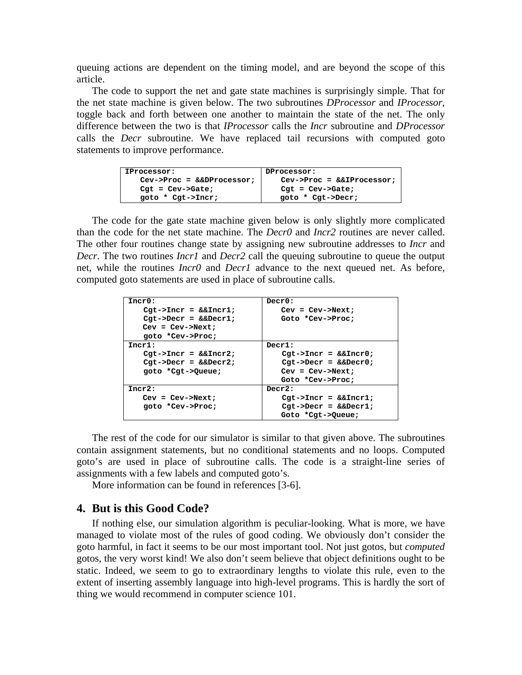queuing actions are dependent on the timing model, and are beyond the scope of this article.

The code to support the net and gate state machines is surprisingly simple. That for the net state machine is given below. The two subroutines *DProcessor* and *IProcessor*, toggle back and forth between one another to maintain the state of the net. The only difference between the two is that *IProcessor* calls the *Incr* subroutine and *DProcessor* calls the *Decr* subroutine. We have replaced tail recursions with computed goto statements to improve performance.

| IProcessor:                | DProcessor:                |
|----------------------------|----------------------------|
| $Cev->Proc = &EDProcessor$ | $Cev->Proc = &EIFrocessor$ |
| $Cat = Cev-> Gate;$        | $Cgt = Cev->Gate;$         |
| goto * Cgt->Incr;          | qoto * Cgt->Decr;          |

The code for the gate state machine given below is only slightly more complicated than the code for the net state machine. The *Decr0* and *Incr2* routines are never called. The other four routines change state by assigning new subroutine addresses to *Incr* and *Decr*. The two routines *Incr1* and *Decr2* call the queuing subroutine to queue the output net, while the routines *Incr0* and *Decr1* advance to the next queued net. As before, computed goto statements are used in place of subroutine calls.

| Incr0:                | $\texttt{Decr0:}$           |
|-----------------------|-----------------------------|
| $Cgt->Incr = &&Incr1$ | $Cev = Cev->Next;$          |
| $Cgt->Decr = &EDecr1$ | Goto *Cev->Proc;            |
| $Cev = Cev->Next:$    |                             |
| qoto *Cev->Proc;      |                             |
| Tncr1:                | $Decr1$ :                   |
| $Cgt->Incr = &&Incr2$ | $Cgt->Incr = &&Incr0$       |
| $Cgt->Decr = &EDecr2$ | $Cgt->Decr = &E\rho c r 0;$ |
| goto *Cgt->Queue;     | $Cev = Cev->Next;$          |
|                       | Goto *Cev->Proc;            |
| Tncr2:                | Decr2:                      |
| $Cev = Cev->Next:$    | $Cgt->Incr = &&Incr1$       |
| qoto *Cev->Proc;      | $Cgt->Decr = &EDecr1$       |
|                       | Goto *Cat->Oueue;           |

The rest of the code for our simulator is similar to that given above. The subroutines contain assignment statements, but no conditional statements and no loops. Computed goto's are used in place of subroutine calls. The code is a straight-line series of assignments with a few labels and computed goto's.

More information can be found in references [3-6].

## **4. But is this Good Code?**

If nothing else, our simulation algorithm is peculiar-looking. What is more, we have managed to violate most of the rules of good coding. We obviously don't consider the goto harmful, in fact it seems to be our most important tool. Not just gotos, but *computed* gotos, the very worst kind! We also don't seem believe that object definitions ought to be static. Indeed, we seem to go to extraordinary lengths to violate this rule, even to the extent of inserting assembly language into high-level programs. This is hardly the sort of thing we would recommend in computer science 101.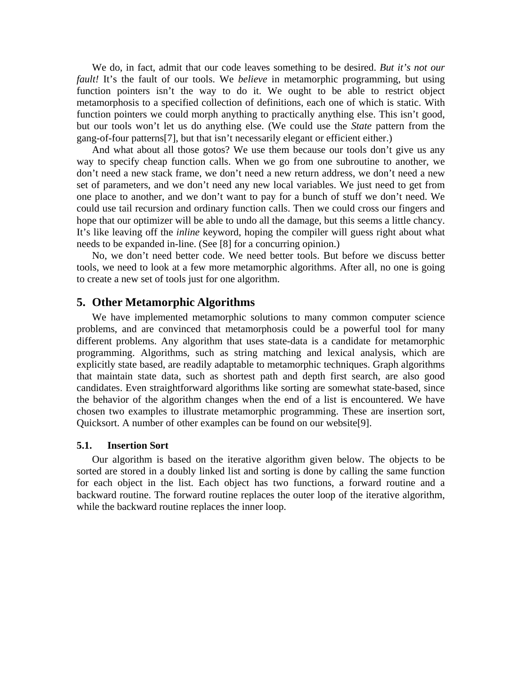We do, in fact, admit that our code leaves something to be desired. *But it's not our fault!* It's the fault of our tools. We *believe* in metamorphic programming, but using function pointers isn't the way to do it. We ought to be able to restrict object metamorphosis to a specified collection of definitions, each one of which is static. With function pointers we could morph anything to practically anything else. This isn't good, but our tools won't let us do anything else. (We could use the *State* pattern from the gang-of-four patterns[7], but that isn't necessarily elegant or efficient either.)

And what about all those gotos? We use them because our tools don't give us any way to specify cheap function calls. When we go from one subroutine to another, we don't need a new stack frame, we don't need a new return address, we don't need a new set of parameters, and we don't need any new local variables. We just need to get from one place to another, and we don't want to pay for a bunch of stuff we don't need. We could use tail recursion and ordinary function calls. Then we could cross our fingers and hope that our optimizer will be able to undo all the damage, but this seems a little chancy. It's like leaving off the *inline* keyword, hoping the compiler will guess right about what needs to be expanded in-line. (See [8] for a concurring opinion.)

No, we don't need better code. We need better tools. But before we discuss better tools, we need to look at a few more metamorphic algorithms. After all, no one is going to create a new set of tools just for one algorithm.

#### **5. Other Metamorphic Algorithms**

We have implemented metamorphic solutions to many common computer science problems, and are convinced that metamorphosis could be a powerful tool for many different problems. Any algorithm that uses state-data is a candidate for metamorphic programming. Algorithms, such as string matching and lexical analysis, which are explicitly state based, are readily adaptable to metamorphic techniques. Graph algorithms that maintain state data, such as shortest path and depth first search, are also good candidates. Even straightforward algorithms like sorting are somewhat state-based, since the behavior of the algorithm changes when the end of a list is encountered. We have chosen two examples to illustrate metamorphic programming. These are insertion sort, Quicksort. A number of other examples can be found on our website[9].

#### **5.1. Insertion Sort**

Our algorithm is based on the iterative algorithm given below. The objects to be sorted are stored in a doubly linked list and sorting is done by calling the same function for each object in the list. Each object has two functions, a forward routine and a backward routine. The forward routine replaces the outer loop of the iterative algorithm, while the backward routine replaces the inner loop.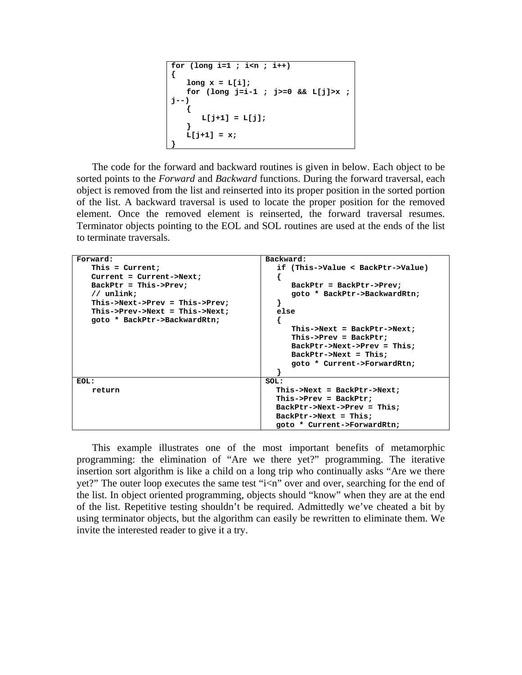```
for (long i=1 ; i<n ; i++) 
{ 
   long x = L[i]; for (long j=i-1 ; j>=0 && L[j]>x ; 
j--) 
 { 
        L[j+1] = L[j]; 
 } 
   L[i+1] = x;}
```
The code for the forward and backward routines is given in below. Each object to be sorted points to the *Forward* and *Backward* functions. During the forward traversal, each object is removed from the list and reinserted into its proper position in the sorted portion of the list. A backward traversal is used to locate the proper position for the removed element. Once the removed element is reinserted, the forward traversal resumes. Terminator objects pointing to the EOL and SOL routines are used at the ends of the list to terminate traversals.

| Forward:                          | Backward:                         |
|-----------------------------------|-----------------------------------|
| This = $Current;$                 | if (This->Value < BackPtr->Value) |
| $Current = Current->Next;$        |                                   |
| $BackPtr = This->prev;$           | $BackPtr = BackPtr->Prev:$        |
| $\frac{1}{\sqrt{2}}$ unlink:      | goto * BackPtr->BackwardRtn;      |
| $This$ ->Next->Prev = This->Prev; |                                   |
| This->Prev->Next = This->Next;    | else                              |
| goto * BackPtr->BackwardRtn;      |                                   |
|                                   | $This$ ->Next = BackPtr->Next;    |
|                                   | $This$ ->Prev = BackPtr;          |
|                                   | $BackPtr->Next->Prev = This;$     |
|                                   | $BackPtr->Next = This;$           |
|                                   | goto * Current->ForwardRtn;       |
|                                   |                                   |
| EOL:                              | SOL:                              |
| return                            | $This$ ->Next = BackPtr->Next;    |
|                                   | $This$ ->Prev = BackPtr;          |
|                                   | $BackPtr->Next->Prev = This;$     |
|                                   | $BackPtr->Next = This;$           |
|                                   | goto * Current->ForwardRtn;       |

This example illustrates one of the most important benefits of metamorphic programming: the elimination of "Are we there yet?" programming. The iterative insertion sort algorithm is like a child on a long trip who continually asks "Are we there yet?" The outer loop executes the same test "i<n" over and over, searching for the end of the list. In object oriented programming, objects should "know" when they are at the end of the list. Repetitive testing shouldn't be required. Admittedly we've cheated a bit by using terminator objects, but the algorithm can easily be rewritten to eliminate them. We invite the interested reader to give it a try.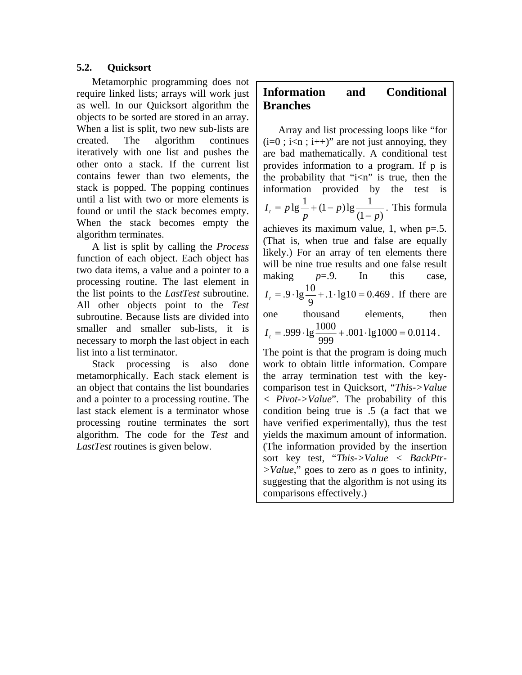# **5.2. Quicksort**

Metamorphic programming does not require linked lists; arrays will work just as well. In our Quicksort algorithm the objects to be sorted are stored in an array. When a list is split, two new sub-lists are created. The algorithm continues iteratively with one list and pushes the other onto a stack. If the current list contains fewer than two elements, the stack is popped. The popping continues until a list with two or more elements is found or until the stack becomes empty. When the stack becomes empty the algorithm terminates.

A list is split by calling the *Process* function of each object. Each object has two data items, a value and a pointer to a processing routine. The last element in the list points to the *LastTest* subroutine. All other objects point to the *Test* subroutine. Because lists are divided into smaller and smaller sub-lists, it is necessary to morph the last object in each list into a list terminator.

Stack processing is also done metamorphically. Each stack element is an object that contains the list boundaries and a pointer to a processing routine. The last stack element is a terminator whose processing routine terminates the sort algorithm. The code for the *Test* and *LastTest* routines is given below.

# **Information and Conditional Branches**

Array and list processing loops like "for  $(i=0; i\leq n; i++)$ " are not just annoying, they are bad mathematically. A conditional test provides information to a program. If p is the probability that " $i$ <n" is true, then the information provided by the test is  $(1-p)$  $lg \frac{1}{2} + (1-p)lg \frac{1}{2}$ *p p*  $I_t = p \lg \frac{1}{p} + (1-p) \lg \frac{1}{(1-p)}$ . This formula achieves its maximum value, 1, when p=.5. (That is, when true and false are equally likely.) For an array of ten elements there will be nine true results and one false result making  $p=0$ . In this case,  $.1 \cdot \lg 10 = 0.469$  $I_t = .9 \cdot \lg \frac{10}{9} + .1 \cdot \lg 10 = 0.469$ . If there are one thousand elements, then  $.001 \cdot \lg 1000 = 0.0114$  $I_t = .999 \cdot \lg \frac{1000}{999} + .001 \cdot \lg 1000 = 0.0114$ . The point is that the program is doing much work to obtain little information. Compare

the array termination test with the keycomparison test in Quicksort, "*This->Value < Pivot->Value*". The probability of this condition being true is .5 (a fact that we have verified experimentally), thus the test yields the maximum amount of information. (The information provided by the insertion sort key test, "*This->Value < BackPtr- >Value*," goes to zero as *n* goes to infinity, suggesting that the algorithm is not using its comparisons effectively.)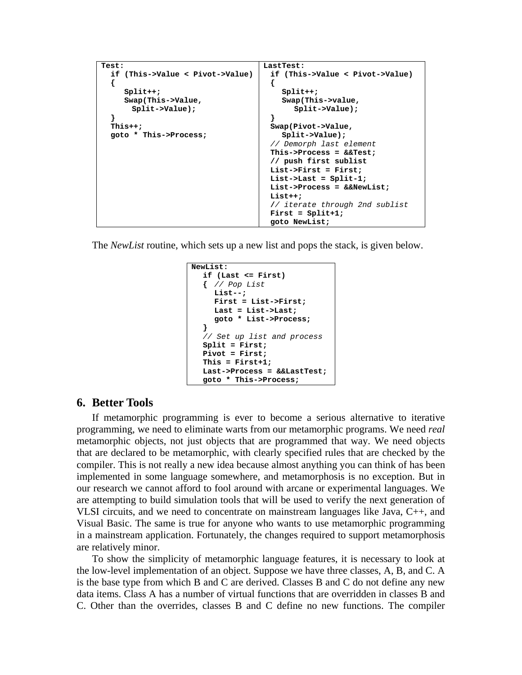```
Test: 
   if (This->Value < Pivot->Value) 
 { 
      Split++; 
      Swap(This->Value, 
        Split->Value); 
   } 
   This++; 
   goto * This->Process; 
                                        LastTest: 
                                           if (This->Value < Pivot->Value) 
                                           { 
                                              Split++; 
                                              Swap(This->value, 
                                                 Split->Value); 
                                           } 
                                           Swap(Pivot->Value, 
                                              Split->Value); 
                                          // Demorph last element 
                                           This->Process = &&Test; 
                                           // push first sublist 
                                           List->First = First; 
                                           List->Last = Split-1; 
                                           List->Process = &&NewList; 
                                           List++; 
                                           // iterate through 2nd sublist 
                                           First = Split+1; 
                                           goto NewList;
```
The *NewList* routine, which sets up a new list and pops the stack, is given below.

```
NewList: 
   if (Last <= First) 
   { // Pop List 
      List--; 
      First = List->First; 
      Last = List->Last; 
      goto * List->Process; 
 } 
  // Set up list and process 
   Split = First; 
   Pivot = First; 
   This = First+1; 
   Last->Process = &&LastTest; 
   goto * This->Process;
```
# **6. Better Tools**

If metamorphic programming is ever to become a serious alternative to iterative programming, we need to eliminate warts from our metamorphic programs. We need *real*  metamorphic objects, not just objects that are programmed that way. We need objects that are declared to be metamorphic, with clearly specified rules that are checked by the compiler. This is not really a new idea because almost anything you can think of has been implemented in some language somewhere, and metamorphosis is no exception. But in our research we cannot afford to fool around with arcane or experimental languages. We are attempting to build simulation tools that will be used to verify the next generation of VLSI circuits, and we need to concentrate on mainstream languages like Java, C++, and Visual Basic. The same is true for anyone who wants to use metamorphic programming in a mainstream application. Fortunately, the changes required to support metamorphosis are relatively minor.

To show the simplicity of metamorphic language features, it is necessary to look at the low-level implementation of an object. Suppose we have three classes, A, B, and C. A is the base type from which B and C are derived. Classes B and C do not define any new data items. Class A has a number of virtual functions that are overridden in classes B and C. Other than the overrides, classes B and C define no new functions. The compiler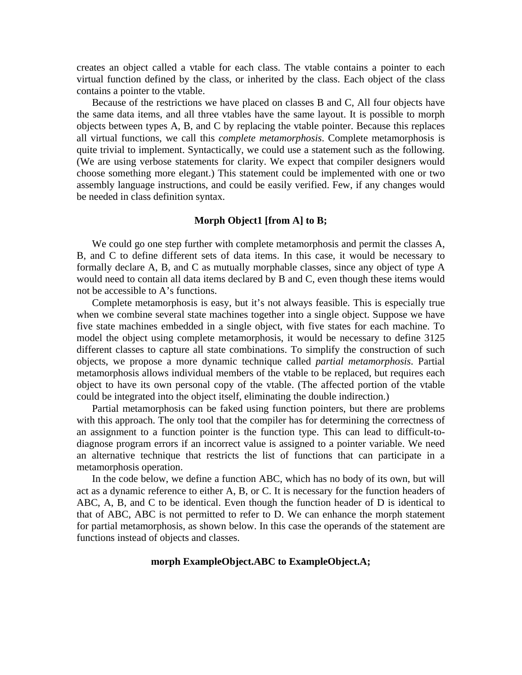creates an object called a vtable for each class. The vtable contains a pointer to each virtual function defined by the class, or inherited by the class. Each object of the class contains a pointer to the vtable.

Because of the restrictions we have placed on classes B and C, All four objects have the same data items, and all three vtables have the same layout. It is possible to morph objects between types A, B, and C by replacing the vtable pointer. Because this replaces all virtual functions, we call this *complete metamorphosis*. Complete metamorphosis is quite trivial to implement. Syntactically, we could use a statement such as the following. (We are using verbose statements for clarity. We expect that compiler designers would choose something more elegant.) This statement could be implemented with one or two assembly language instructions, and could be easily verified. Few, if any changes would be needed in class definition syntax.

#### **Morph Object1 [from A] to B;**

We could go one step further with complete metamorphosis and permit the classes A, B, and C to define different sets of data items. In this case, it would be necessary to formally declare A, B, and C as mutually morphable classes, since any object of type A would need to contain all data items declared by B and C, even though these items would not be accessible to A's functions.

Complete metamorphosis is easy, but it's not always feasible. This is especially true when we combine several state machines together into a single object. Suppose we have five state machines embedded in a single object, with five states for each machine. To model the object using complete metamorphosis, it would be necessary to define 3125 different classes to capture all state combinations. To simplify the construction of such objects, we propose a more dynamic technique called *partial metamorphosis*. Partial metamorphosis allows individual members of the vtable to be replaced, but requires each object to have its own personal copy of the vtable. (The affected portion of the vtable could be integrated into the object itself, eliminating the double indirection.)

Partial metamorphosis can be faked using function pointers, but there are problems with this approach. The only tool that the compiler has for determining the correctness of an assignment to a function pointer is the function type. This can lead to difficult-todiagnose program errors if an incorrect value is assigned to a pointer variable. We need an alternative technique that restricts the list of functions that can participate in a metamorphosis operation.

In the code below, we define a function ABC, which has no body of its own, but will act as a dynamic reference to either A, B, or C. It is necessary for the function headers of ABC, A, B, and C to be identical. Even though the function header of D is identical to that of ABC, ABC is not permitted to refer to D. We can enhance the morph statement for partial metamorphosis, as shown below. In this case the operands of the statement are functions instead of objects and classes.

#### **morph ExampleObject.ABC to ExampleObject.A;**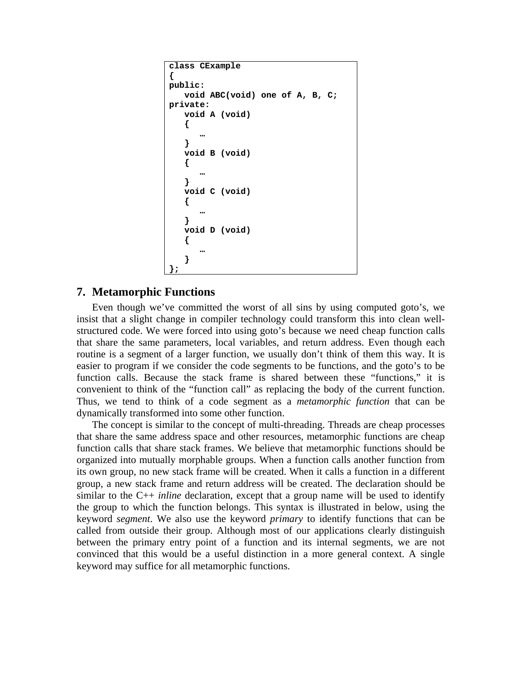```
class CExample 
{ 
public: 
    void ABC(void) one of A, B, C; 
private: 
    void A (void) 
    { 
 … 
    } 
    void B (void) 
    { 
 … 
    } 
    void C (void) 
    { 
 … 
    } 
    void D (void) 
    { 
 … 
 } 
};
```
# **7. Metamorphic Functions**

Even though we've committed the worst of all sins by using computed goto's, we insist that a slight change in compiler technology could transform this into clean wellstructured code. We were forced into using goto's because we need cheap function calls that share the same parameters, local variables, and return address. Even though each routine is a segment of a larger function, we usually don't think of them this way. It is easier to program if we consider the code segments to be functions, and the goto's to be function calls. Because the stack frame is shared between these "functions," it is convenient to think of the "function call" as replacing the body of the current function. Thus, we tend to think of a code segment as a *metamorphic function* that can be dynamically transformed into some other function.

The concept is similar to the concept of multi-threading. Threads are cheap processes that share the same address space and other resources, metamorphic functions are cheap function calls that share stack frames. We believe that metamorphic functions should be organized into mutually morphable groups. When a function calls another function from its own group, no new stack frame will be created. When it calls a function in a different group, a new stack frame and return address will be created. The declaration should be similar to the C++ *inline* declaration, except that a group name will be used to identify the group to which the function belongs. This syntax is illustrated in below, using the keyword *segment*. We also use the keyword *primary* to identify functions that can be called from outside their group. Although most of our applications clearly distinguish between the primary entry point of a function and its internal segments, we are not convinced that this would be a useful distinction in a more general context. A single keyword may suffice for all metamorphic functions.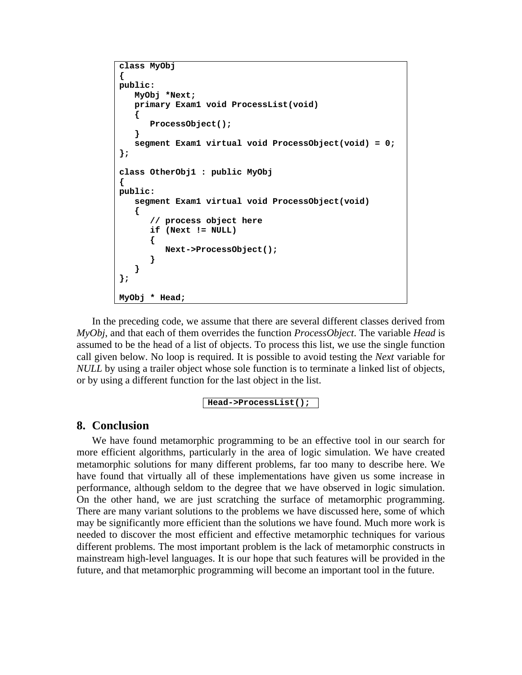```
class MyObj 
{ 
public: 
    MyObj *Next; 
    primary Exam1 void ProcessList(void) 
    { 
        ProcessObject(); 
    } 
    segment Exam1 virtual void ProcessObject(void) = 0; 
}; 
class OtherObj1 : public MyObj 
{ 
public: 
    segment Exam1 virtual void ProcessObject(void) 
    { 
        // process object here 
        if (Next != NULL) 
        { 
           Next->ProcessObject(); 
        } 
    } 
}; 
MyObj * Head;
```
In the preceding code, we assume that there are several different classes derived from *MyObj*, and that each of them overrides the function *ProcessObject*. The variable *Head* is assumed to be the head of a list of objects. To process this list, we use the single function call given below. No loop is required. It is possible to avoid testing the *Next* variable for *NULL* by using a trailer object whose sole function is to terminate a linked list of objects, or by using a different function for the last object in the list.

```
Head->ProcessList();
```
## **8. Conclusion**

We have found metamorphic programming to be an effective tool in our search for more efficient algorithms, particularly in the area of logic simulation. We have created metamorphic solutions for many different problems, far too many to describe here. We have found that virtually all of these implementations have given us some increase in performance, although seldom to the degree that we have observed in logic simulation. On the other hand, we are just scratching the surface of metamorphic programming. There are many variant solutions to the problems we have discussed here, some of which may be significantly more efficient than the solutions we have found. Much more work is needed to discover the most efficient and effective metamorphic techniques for various different problems. The most important problem is the lack of metamorphic constructs in mainstream high-level languages. It is our hope that such features will be provided in the future, and that metamorphic programming will become an important tool in the future.